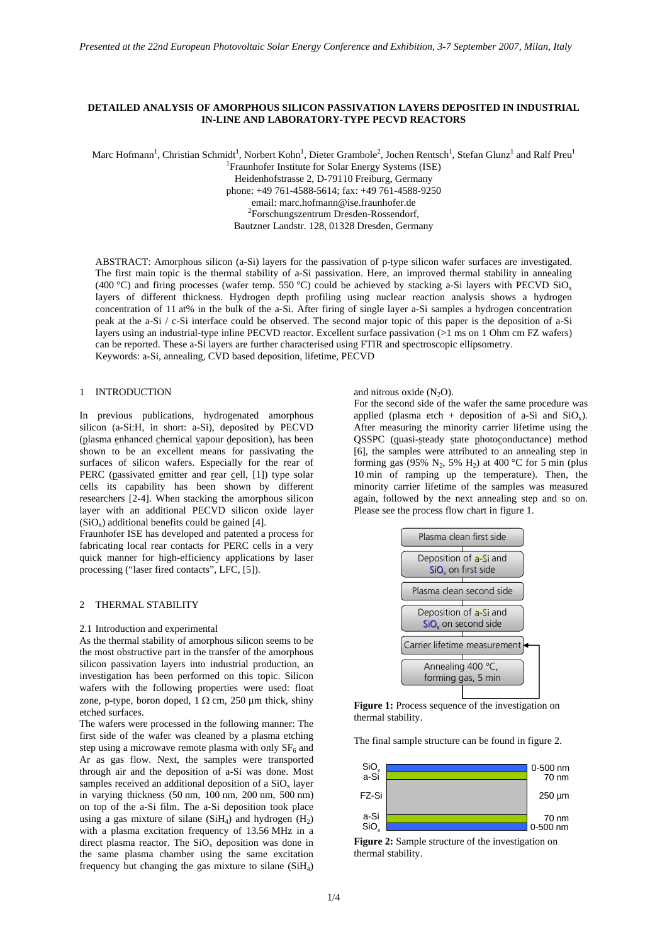# **DETAILED ANALYSIS OF AMORPHOUS SILICON PASSIVATION LAYERS DEPOSITED IN INDUSTRIAL IN-LINE AND LABORATORY-TYPE PECVD REACTORS**

Marc Hofmann<sup>1</sup>, Christian Schmidt<sup>1</sup>, Norbert Kohn<sup>1</sup>, Dieter Grambole<sup>2</sup>, Jochen Rentsch<sup>1</sup>, Stefan Glunz<sup>1</sup> and Ralf Preu<sup>1</sup> <sup>1</sup> Fraunhofer Institute for Solar Energy Systems (ISE) Heidenhofstrasse 2, D-79110 Freiburg, Germany phone: +49 761-4588-5614; fax: +49 761-4588-9250 email: marc.hofmann@ise.fraunhofer.de 2 <sup>2</sup>Forschungszentrum Dresden-Rossendorf, Bautzner Landstr. 128, 01328 Dresden, Germany

ABSTRACT: Amorphous silicon (a-Si) layers for the passivation of p-type silicon wafer surfaces are investigated. The first main topic is the thermal stability of a-Si passivation. Here, an improved thermal stability in annealing (400 °C) and firing processes (wafer temp. 550 °C) could be achieved by stacking a-Si layers with PECVD SiO<sub>x</sub> layers of different thickness. Hydrogen depth profiling using nuclear reaction analysis shows a hydrogen concentration of 11 at% in the bulk of the a-Si. After firing of single layer a-Si samples a hydrogen concentration peak at the a-Si / c-Si interface could be observed. The second major topic of this paper is the deposition of a-Si layers using an industrial-type inline PECVD reactor. Excellent surface passivation (>1 ms on 1 Ohm cm FZ wafers) can be reported. These a-Si layers are further characterised using FTIR and spectroscopic ellipsometry. Keywords: a-Si, annealing, CVD based deposition, lifetime, PECVD

# 1 INTRODUCTION

In previous publications, hydrogenated amorphous silicon (a-Si:H, in short: a-Si), deposited by PECVD (plasma enhanced chemical vapour deposition), has been shown to be an excellent means for passivating the surfaces of silicon wafers. Especially for the rear of PERC (passivated emitter and rear cell, [1]) type solar cells its capability has been shown by different researchers [2-4]. When stacking the amorphous silicon layer with an additional PECVD silicon oxide layer  $(SiO<sub>x</sub>)$  additional benefits could be gained [4].

Fraunhofer ISE has developed and patented a process for fabricating local rear contacts for PERC cells in a very quick manner for high-efficiency applications by laser processing ("laser fired contacts", LFC, [5]).

### 2 THERMAL STABILITY

#### 2.1 Introduction and experimental

As the thermal stability of amorphous silicon seems to be the most obstructive part in the transfer of the amorphous silicon passivation layers into industrial production, an investigation has been performed on this topic. Silicon wafers with the following properties were used: float zone, p-type, boron doped,  $1 \Omega \text{ cm}$ , 250 µm thick, shiny etched surfaces.

The wafers were processed in the following manner: The first side of the wafer was cleaned by a plasma etching step using a microwave remote plasma with only  $SF<sub>6</sub>$  and Ar as gas flow. Next, the samples were transported through air and the deposition of a-Si was done. Most samples received an additional deposition of a  $SiO<sub>x</sub>$  layer in varying thickness (50 nm, 100 nm, 200 nm, 500 nm) on top of the a-Si film. The a-Si deposition took place using a gas mixture of silane (SiH<sub>4</sub>) and hydrogen  $(H<sub>2</sub>)$ with a plasma excitation frequency of 13.56 MHz in a direct plasma reactor. The  $SiO<sub>x</sub>$  deposition was done in the same plasma chamber using the same excitation frequency but changing the gas mixture to silane  $(SiH_4)$ 

#### and nitrous oxide  $(N_2O)$ .

For the second side of the wafer the same procedure was applied (plasma etch + deposition of a-Si and  $SiO<sub>x</sub>$ ). After measuring the minority carrier lifetime using the QSSPC (quasi-steady state photoconductance) method [6], the samples were attributed to an annealing step in forming gas (95% N<sub>2</sub>, 5% H<sub>2</sub>) at 400 °C for 5 min (plus 10 min of ramping up the temperature). Then, the minority carrier lifetime of the samples was measured again, followed by the next annealing step and so on. Please see the process flow chart in figure 1.



**Figure 1:** Process sequence of the investigation on thermal stability.

The final sample structure can be found in figure 2.



**Figure 2:** Sample structure of the investigation on thermal stability.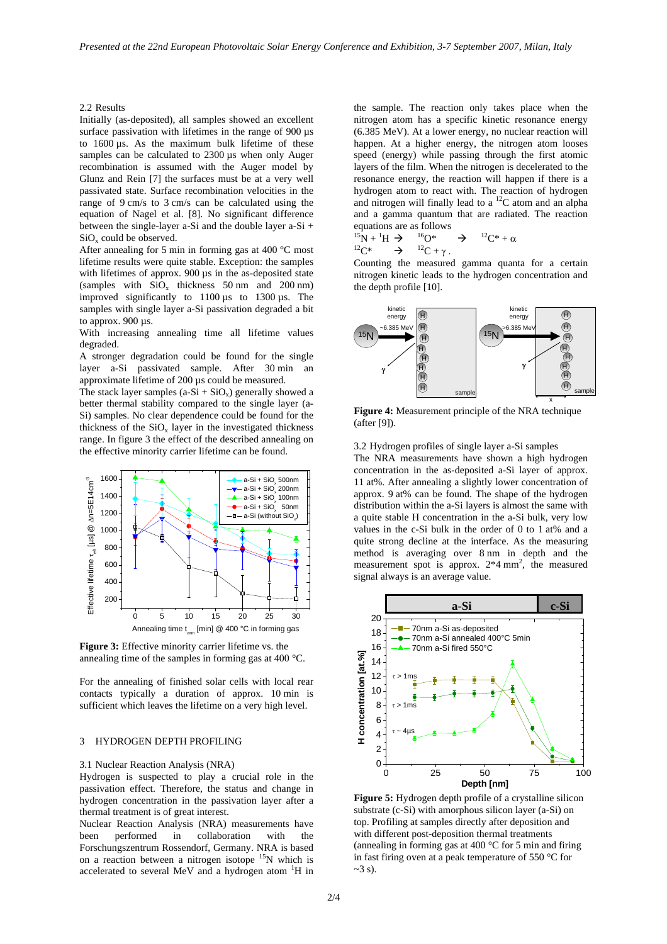2.2 Results

Initially (as-deposited), all samples showed an excellent surface passivation with lifetimes in the range of 900 us to 1600 µs. As the maximum bulk lifetime of these samples can be calculated to 2300  $\mu$ s when only Auger recombination is assumed with the Auger model by Glunz and Rein [7] the surfaces must be at a very well passivated state. Surface recombination velocities in the range of 9 cm/s to 3 cm/s can be calculated using the equation of Nagel et al. [8]. No significant difference between the single-layer a-Si and the double layer a-Si +  $SiO<sub>x</sub>$  could be observed.

After annealing for 5 min in forming gas at 400 °C most lifetime results were quite stable. Exception: the samples with lifetimes of approx. 900  $\mu$ s in the as-deposited state (samples with  $SiO_x$  thickness 50 nm and 200 nm) improved significantly to 1100 µs to 1300 µs. The samples with single layer a-Si passivation degraded a bit to approx. 900 µs.

With increasing annealing time all lifetime values degraded.

A stronger degradation could be found for the single layer a-Si passivated sample. After 30 min an approximate lifetime of 200 µs could be measured.

The stack layer samples  $(a-Si + SiO<sub>x</sub>)$  generally showed a better thermal stability compared to the single layer (a-Si) samples. No clear dependence could be found for the thickness of the  $SiO_x$  layer in the investigated thickness range. In figure 3 the effect of the described annealing on the effective minority carrier lifetime can be found.



**Figure 3:** Effective minority carrier lifetime vs. the annealing time of the samples in forming gas at 400 °C.

For the annealing of finished solar cells with local rear contacts typically a duration of approx. 10 min is sufficient which leaves the lifetime on a very high level.

## 3 HYDROGEN DEPTH PROFILING

### 3.1 Nuclear Reaction Analysis (NRA)

Hydrogen is suspected to play a crucial role in the passivation effect. Therefore, the status and change in hydrogen concentration in the passivation layer after a thermal treatment is of great interest.

Nuclear Reaction Analysis (NRA) measurements have been performed in collaboration with the Forschungszentrum Rossendorf, Germany. NRA is based on a reaction between a nitrogen isotope  ${}^{15}N$  which is accelerated to several MeV and a hydrogen atom  ${}^{1}H$  in the sample. The reaction only takes place when the nitrogen atom has a specific kinetic resonance energy (6.385 MeV). At a lower energy, no nuclear reaction will happen. At a higher energy, the nitrogen atom looses speed (energy) while passing through the first atomic layers of the film. When the nitrogen is decelerated to the resonance energy, the reaction will happen if there is a hydrogen atom to react with. The reaction of hydrogen and nitrogen will finally lead to a  ${}^{12}$ C atom and an alpha and a gamma quantum that are radiated. The reaction equations are as follows

$$
{}^{15}N + {}^{1}H \rightarrow {}^{16}O^* \rightarrow {}^{12}C^* + \alpha
$$
  

$$
{}^{12}C^* \rightarrow {}^{12}C + \gamma.
$$

Counting the measured gamma quanta for a certain nitrogen kinetic leads to the hydrogen concentration and the depth profile [10].



**Figure 4:** Measurement principle of the NRA technique (after [9]).

3.2 Hydrogen profiles of single layer a-Si samples

The NRA measurements have shown a high hydrogen concentration in the as-deposited a-Si layer of approx. 11 at%. After annealing a slightly lower concentration of approx. 9 at% can be found. The shape of the hydrogen distribution within the a-Si layers is almost the same with a quite stable H concentration in the a-Si bulk, very low values in the c-Si bulk in the order of 0 to 1 at% and a quite strong decline at the interface. As the measuring method is averaging over 8 nm in depth and the measurement spot is approx.  $2*4$  mm<sup>2</sup>, the measured signal always is an average value.



**Figure 5:** Hydrogen depth profile of a crystalline silicon substrate (c-Si) with amorphous silicon layer (a-Si) on top. Profiling at samples directly after deposition and with different post-deposition thermal treatments (annealing in forming gas at 400 °C for 5 min and firing in fast firing oven at a peak temperature of 550 °C for  $\sim$ 3 s).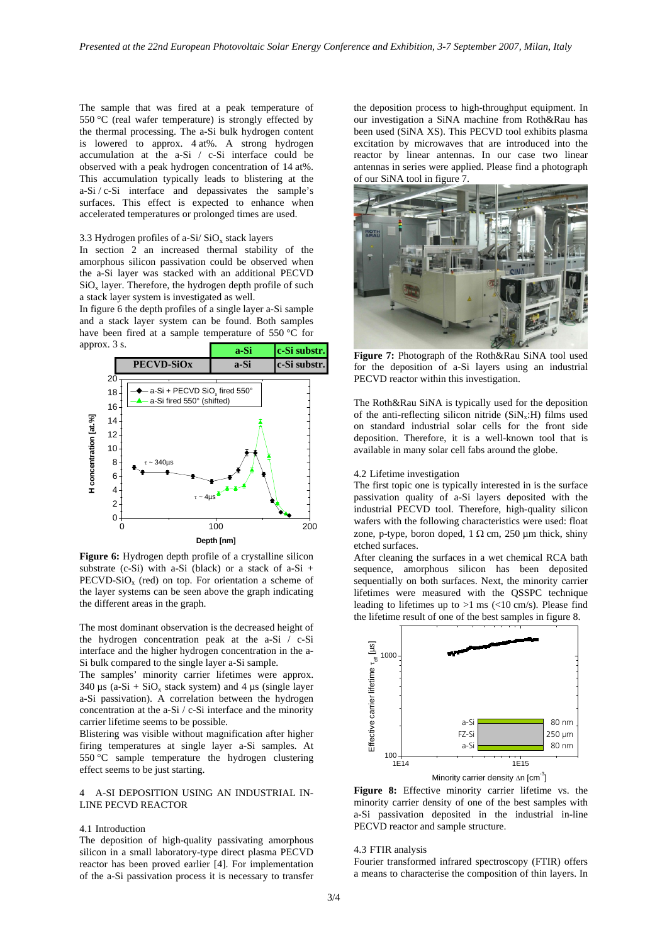The sample that was fired at a peak temperature of 550 °C (real wafer temperature) is strongly effected by the thermal processing. The a-Si bulk hydrogen content is lowered to approx. 4 at%. A strong hydrogen accumulation at the a-Si / c-Si interface could be observed with a peak hydrogen concentration of 14 at%. This accumulation typically leads to blistering at the a-Si / c-Si interface and depassivates the sample's surfaces. This effect is expected to enhance when accelerated temperatures or prolonged times are used.

# 3.3 Hydrogen profiles of a-Si/ $SiO<sub>x</sub>$  stack layers

In section 2 an increased thermal stability of the amorphous silicon passivation could be observed when the a-Si layer was stacked with an additional PECVD  $SiO<sub>x</sub>$  layer. Therefore, the hydrogen depth profile of such a stack layer system is investigated as well.

In figure 6 the depth profiles of a single layer a-Si sample and a stack layer system can be found. Both samples have been fired at a sample temperature of 550 °C for approx. 3 s.



**Figure 6:** Hydrogen depth profile of a crystalline silicon substrate (c-Si) with a-Si (black) or a stack of  $a-Si$  +  $\text{PECVD-SiO}_x$  (red) on top. For orientation a scheme of the layer systems can be seen above the graph indicating the different areas in the graph.

The most dominant observation is the decreased height of the hydrogen concentration peak at the a-Si / c-Si interface and the higher hydrogen concentration in the a-Si bulk compared to the single layer a-Si sample.

The samples' minority carrier lifetimes were approx. 340  $\mu$ s (a-Si + SiO<sub>x</sub> stack system) and 4  $\mu$ s (single layer a-Si passivation). A correlation between the hydrogen concentration at the a-Si / c-Si interface and the minority carrier lifetime seems to be possible.

Blistering was visible without magnification after higher firing temperatures at single layer a-Si samples. At 550 °C sample temperature the hydrogen clustering effect seems to be just starting.

# 4 A-SI DEPOSITION USING AN INDUSTRIAL IN-LINE PECVD REACTOR

## 4.1 Introduction

The deposition of high-quality passivating amorphous silicon in a small laboratory-type direct plasma PECVD reactor has been proved earlier [4]. For implementation of the a-Si passivation process it is necessary to transfer

the deposition process to high-throughput equipment. In our investigation a SiNA machine from Roth&Rau has been used (SiNA XS). This PECVD tool exhibits plasma excitation by microwaves that are introduced into the reactor by linear antennas. In our case two linear antennas in series were applied. Please find a photograph of our SiNA tool in figure 7.



**a-Si c-Si substr.**<br>**Figure 7:** Photograph of the Roth&Rau SiNA tool used<br>**a-Si c-Si substr.** for the deposition of a-Si layers using an industrial for the deposition of a-Si layers using an industrial PECVD reactor within this investigation.

The Roth&Rau SiNA is typically used for the deposition of the anti-reflecting silicon nitride  $(SiN_x:H)$  films used on standard industrial solar cells for the front side deposition. Therefore, it is a well-known tool that is available in many solar cell fabs around the globe.

#### 4.2 Lifetime investigation

The first topic one is typically interested in is the surface passivation quality of a-Si layers deposited with the industrial PECVD tool. Therefore, high-quality silicon wafers with the following characteristics were used: float zone, p-type, boron doped,  $1 \Omega$  cm,  $250 \mu$ m thick, shiny etched surfaces.

After cleaning the surfaces in a wet chemical RCA bath sequence, amorphous silicon has been deposited sequentially on both surfaces. Next, the minority carrier lifetimes were measured with the QSSPC technique leading to lifetimes up to  $>1$  ms ( $<10$  cm/s). Please find the lifetime result of one of the best samples in figure 8.



Minority carrier density ∆n [cm<sup>-3</sup>]

**Figure 8:** Effective minority carrier lifetime vs. the minority carrier density of one of the best samples with a-Si passivation deposited in the industrial in-line PECVD reactor and sample structure.

## 4.3 FTIR analysis

Fourier transformed infrared spectroscopy (FTIR) offers a means to characterise the composition of thin layers. In